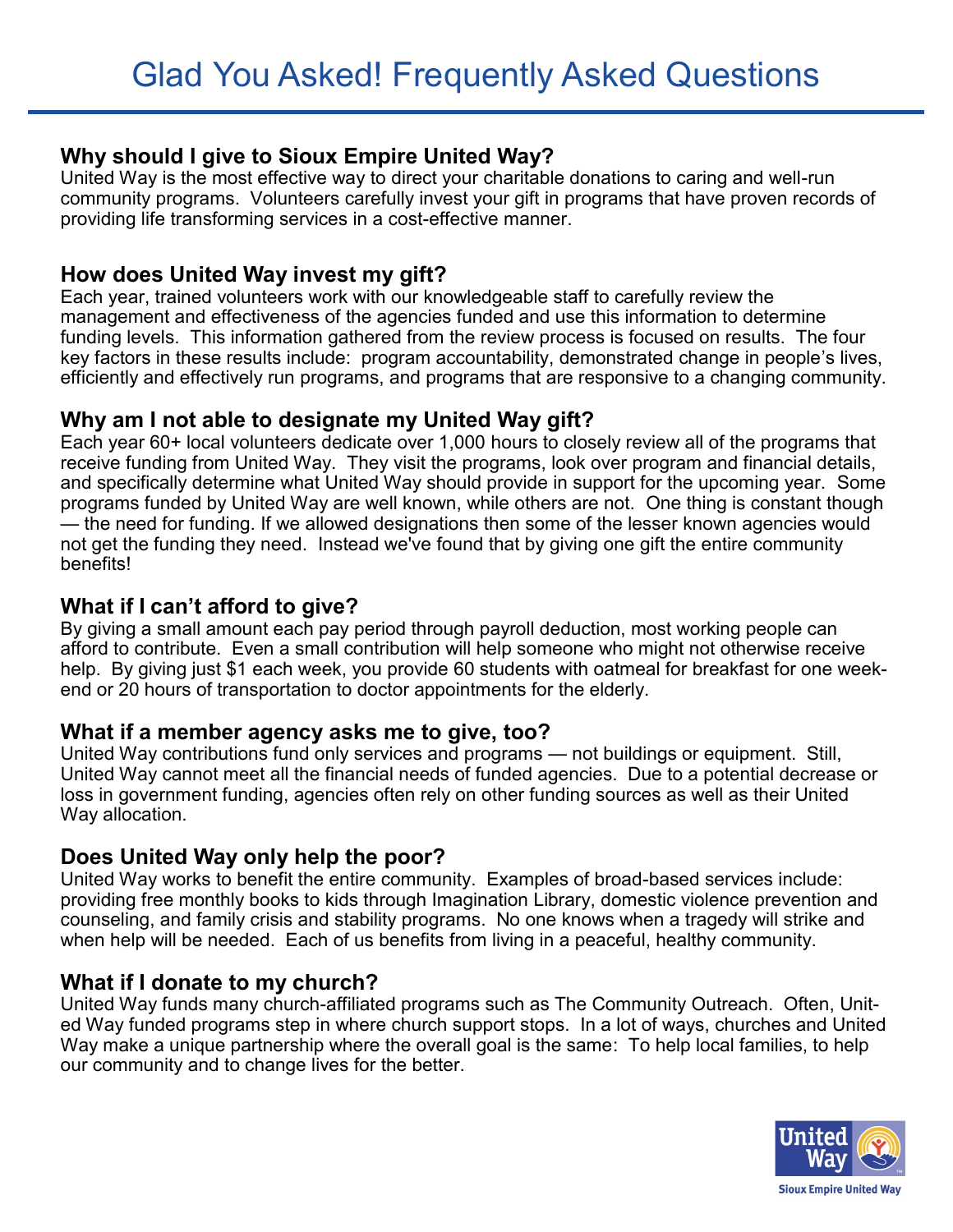## **Why should I give to Sioux Empire United Way?**

United Way is the most effective way to direct your charitable donations to caring and well-run community programs. Volunteers carefully invest your gift in programs that have proven records of providing life transforming services in a cost-effective manner.

## **How does United Way invest my gift?**

Each year, trained volunteers work with our knowledgeable staff to carefully review the management and effectiveness of the agencies funded and use this information to determine funding levels. This information gathered from the review process is focused on results. The four key factors in these results include: program accountability, demonstrated change in people's lives, efficiently and effectively run programs, and programs that are responsive to a changing community.

## **Why am I not able to designate my United Way gift?**

Each year 60+ local volunteers dedicate over 1,000 hours to closely review all of the programs that receive funding from United Way. They visit the programs, look over program and financial details, and specifically determine what United Way should provide in support for the upcoming year. Some programs funded by United Way are well known, while others are not. One thing is constant though — the need for funding. If we allowed designations then some of the lesser known agencies would not get the funding they need. Instead we've found that by giving one gift the entire community benefits!

## **What if I can't afford to give?**

By giving a small amount each pay period through payroll deduction, most working people can afford to contribute. Even a small contribution will help someone who might not otherwise receive help. By giving just \$1 each week, you provide 60 students with oatmeal for breakfast for one weekend or 20 hours of transportation to doctor appointments for the elderly.

#### **What if a member agency asks me to give, too?**

United Way contributions fund only services and programs — not buildings or equipment. Still, United Way cannot meet all the financial needs of funded agencies. Due to a potential decrease or loss in government funding, agencies often rely on other funding sources as well as their United Way allocation.

#### **Does United Way only help the poor?**

United Way works to benefit the entire community. Examples of broad-based services include: providing free monthly books to kids through Imagination Library, domestic violence prevention and counseling, and family crisis and stability programs. No one knows when a tragedy will strike and when help will be needed. Each of us benefits from living in a peaceful, healthy community.

# **What if I donate to my church?**

United Way funds many church-affiliated programs such as The Community Outreach. Often, United Way funded programs step in where church support stops. In a lot of ways, churches and United Way make a unique partnership where the overall goal is the same: To help local families, to help our community and to change lives for the better.